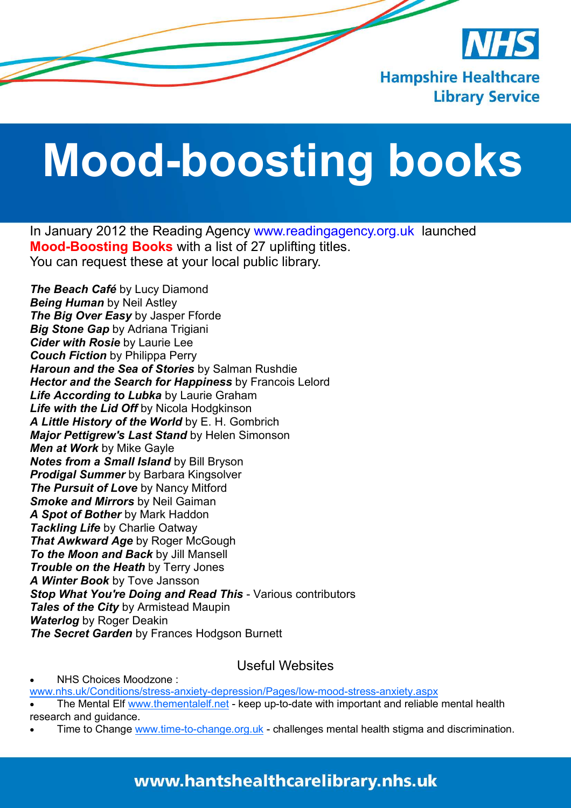

## **Mood-boosting books**

In January 2012 the Reading Agency www.readingagency.org.uk launched **Mood-Boosting Books** with a list of 27 uplifting titles. You can request these at your local public library.

*The Beach Café* by Lucy Diamond *Being Human* by Neil Astley *The Big Over Easy* by Jasper Fforde *Big Stone Gap* by Adriana Trigiani *Cider with Rosie* by Laurie Lee *Couch Fiction* by Philippa Perry *Haroun and the Sea of Stories* by Salman Rushdie *Hector and the Search for Happiness* by Francois Lelord *Life According to Lubka* by Laurie Graham *Life with the Lid Off* by Nicola Hodgkinson *A Little History of the World* by E. H. Gombrich *Major Pettigrew's Last Stand* by Helen Simonson *Men at Work* by Mike Gayle *Notes from a Small Island* by Bill Bryson *Prodigal Summer* by Barbara Kingsolver *The Pursuit of Love* by Nancy Mitford *Smoke and Mirrors* by Neil Gaiman *A Spot of Bother* by Mark Haddon *Tackling Life* by Charlie Oatway *That Awkward Age by Roger McGough To the Moon and Back* by Jill Mansell *Trouble on the Heath* by Terry Jones *A Winter Book* by Tove Jansson *Stop What You're Doing and Read This* - Various contributors *Tales of the City* by Armistead Maupin *Waterlog* by Roger Deakin *The Secret Garden* by Frances Hodgson Burnett

Useful Websites

• NHS Choices Moodzone :

www.nhs.uk/Conditions/stress-anxiety-depression/Pages/low-mood-stress-anxiety.aspx

The Mental Elf www.thementalelf.net - keep up-to-date with important and reliable mental health research and guidance.

Time to Change www.time-to-change.org.uk - challenges mental health stigma and discrimination.

## www.hantshealthcarelibrary.nhs.uk